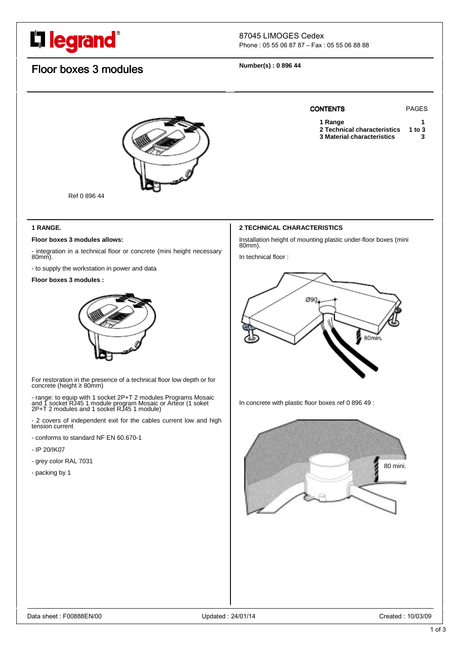# L**legrand**®

## 87045 LIMOGES Cedex

Phone : 05 55 06 87 87 – Fax : 05 55 06 88 88

# Floor boxes 3 modules

**Number(s) : 0 896 44** 



Ref 0 896 44

### **1 RANGE.**

#### **Floor boxes 3 modules allows:**

- integration in a technical floor or concrete (mini height necessary 80mm).

- to supply the workstation in power and data

#### **Floor boxes 3 modules :**



For restoration in the presence of a technical floor low depth or for concrete (height ≥ 80mm)

- range: to equip with 1 socket 2P+T 2 modules Programs Mosaic and 1 socket RJ45 1 module program Mosaic or Arteor (1 soket 2P+T 2 modules and 1 socket RJ45 1 module)

- 2 covers of independent exit for the cables current low and high tension current

- conforms to standard NF EN 60.670-1
- IP 20/IK07
- grey color RAL 7031
- packing by 1



Installation height of mounting plastic under-floor boxes (mini 80mm).

CONTENTS PAGES

1 Range<br>2 Technical characteristics 1 to 3 **2 Technical characteristics 3 Material characteristics 3** 

In technical floor :



In concrete with plastic floor boxes ref 0 896 49 :

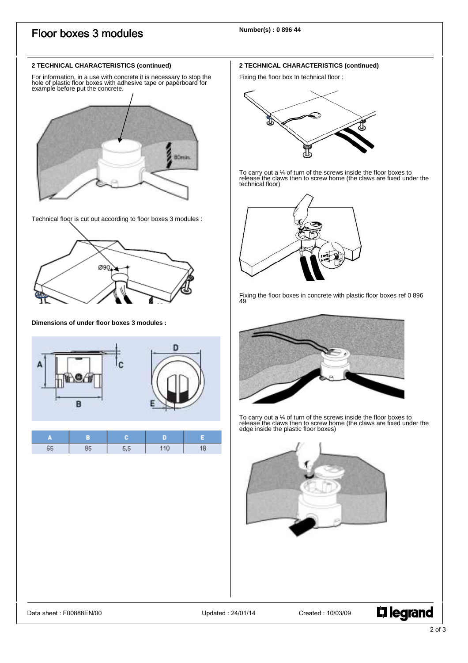# Floor boxes 3 modules

#### **2 TECHNICAL CHARACTERISTICS (continued)**

For information, in a use with concrete it is necessary to stop the hole of plastic floor boxes with adhesive tape or paperboard for example before put the concrete.



Technical floor is cut out according to floor boxes 3 modules :



#### **Dimensions of under floor boxes 3 modules :**



#### **2 TECHNICAL CHARACTERISTICS (continued)**

Fixing the floor box In technical floor :



To carry out a ¼ of turn of the screws inside the floor boxes to release the claws then to screw home (the claws are fixed under the technical floor)



Fixing the floor boxes in concrete with plastic floor boxes ref 0 896 49



To carry out a ¼ of turn of the screws inside the floor boxes to release the claws then to screw home (the claws are fixed under the<br>edge inside the plastic floor boxes)



**L'1 legrand**